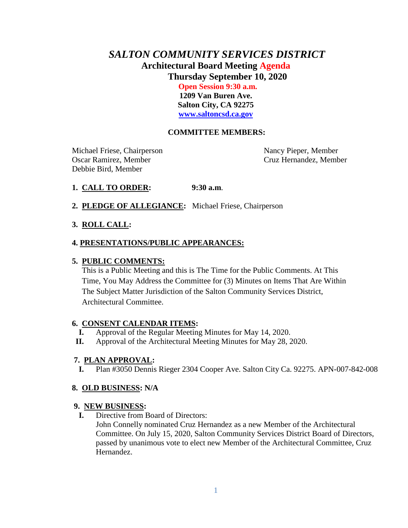# *SALTON COMMUNITY SERVICES DISTRICT* **Architectural Board Meeting Agenda Thursday September 10, 2020 Open Session 9:30 a.m. 1209 Van Buren Ave. Salton City, CA 92275**

**[www.saltoncsd.ca.gov](http://www.saltoncsd.ca.gov/)**

# **COMMITTEE MEMBERS:**

Michael Friese, Chairperson **Nancy Pieper, Member** Nancy Pieper, Member Oscar Ramirez, Member Cruz Hernandez, Member Debbie Bird, Member

# **1. CALL TO ORDER: 9:30 a.m**.

**2. PLEDGE OF ALLEGIANCE:** Michael Friese, Chairperson

### **3. ROLL CALL:**

#### **4. PRESENTATIONS/PUBLIC APPEARANCES:**

#### **5. PUBLIC COMMENTS:**

 This is a Public Meeting and this is The Time for the Public Comments. At This Time, You May Address the Committee for (3) Minutes on Items That Are Within The Subject Matter Jurisdiction of the Salton Community Services District, Architectural Committee.

#### **6. CONSENT CALENDAR ITEMS:**

- **I.** Approval of the Regular Meeting Minutes for May 14, 2020.
- **II.** Approval of the Architectural Meeting Minutes for May 28, 2020.

#### **7. PLAN APPROVAL:**

**I.** Plan #3050 Dennis Rieger 2304 Cooper Ave. Salton City Ca. 92275. APN-007-842-008

#### **8. OLD BUSINESS: N/A**

#### **9. NEW BUSINESS:**

**I.** Directive from Board of Directors:

John Connelly nominated Cruz Hernandez as a new Member of the Architectural Committee. On July 15, 2020, Salton Community Services District Board of Directors, passed by unanimous vote to elect new Member of the Architectural Committee, Cruz Hernandez.